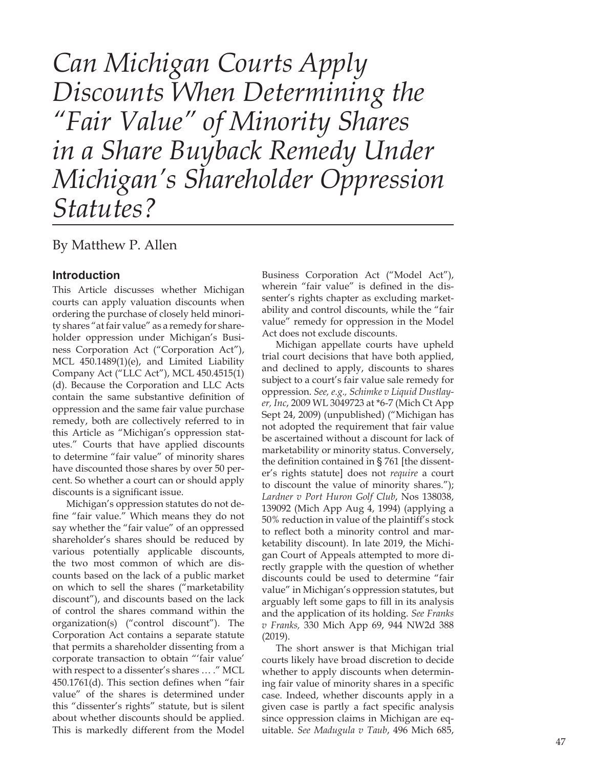*Can Michigan Courts Apply Discounts When Determining the "Fair Value" of Minority Shares in a Share Buyback Remedy Under Michigan's Shareholder Oppression Statutes?*

# By Matthew P. Allen

### **Introduction**

This Article discusses whether Michigan courts can apply valuation discounts when ordering the purchase of closely held minority shares "at fair value" as a remedy for shareholder oppression under Michigan's Business Corporation Act ("Corporation Act"), MCL 450.1489(1)(e), and Limited Liability Company Act ("LLC Act"), MCL 450.4515(1) (d). Because the Corporation and LLC Acts contain the same substantive definition of oppression and the same fair value purchase remedy, both are collectively referred to in this Article as "Michigan's oppression statutes." Courts that have applied discounts to determine "fair value" of minority shares have discounted those shares by over 50 percent. So whether a court can or should apply discounts is a significant issue.

Michigan's oppression statutes do not define "fair value." Which means they do not say whether the "fair value" of an oppressed shareholder's shares should be reduced by various potentially applicable discounts, the two most common of which are discounts based on the lack of a public market on which to sell the shares ("marketability discount"), and discounts based on the lack of control the shares command within the organization(s) ("control discount"). The Corporation Act contains a separate statute that permits a shareholder dissenting from a corporate transaction to obtain "'fair value' with respect to a dissenter's shares … ." MCL 450.1761(d). This section defines when "fair value" of the shares is determined under this "dissenter's rights" statute, but is silent about whether discounts should be applied. This is markedly different from the Model

Business Corporation Act ("Model Act"), wherein "fair value" is defined in the dissenter's rights chapter as excluding marketability and control discounts, while the "fair value" remedy for oppression in the Model Act does not exclude discounts.

Michigan appellate courts have upheld trial court decisions that have both applied, and declined to apply, discounts to shares subject to a court's fair value sale remedy for oppression. *See, e.g., Schimke v Liquid Dustlayer, Inc*, 2009 WL 3049723 at \*6-7 (Mich Ct App Sept 24, 2009) (unpublished) ("Michigan has not adopted the requirement that fair value be ascertained without a discount for lack of marketability or minority status. Conversely, the definition contained in § 761 [the dissenter's rights statute] does not *require* a court to discount the value of minority shares."); *Lardner v Port Huron Golf Club*, Nos 138038, 139092 (Mich App Aug 4, 1994) (applying a 50% reduction in value of the plaintiff's stock to reflect both a minority control and marketability discount). In late 2019, the Michigan Court of Appeals attempted to more directly grapple with the question of whether discounts could be used to determine "fair value" in Michigan's oppression statutes, but arguably left some gaps to fill in its analysis and the application of its holding. *See Franks v Franks,* 330 Mich App 69, 944 NW2d 388 (2019).

The short answer is that Michigan trial courts likely have broad discretion to decide whether to apply discounts when determining fair value of minority shares in a specific case. Indeed, whether discounts apply in a given case is partly a fact specific analysis since oppression claims in Michigan are equitable. *See Madugula v Taub*, 496 Mich 685,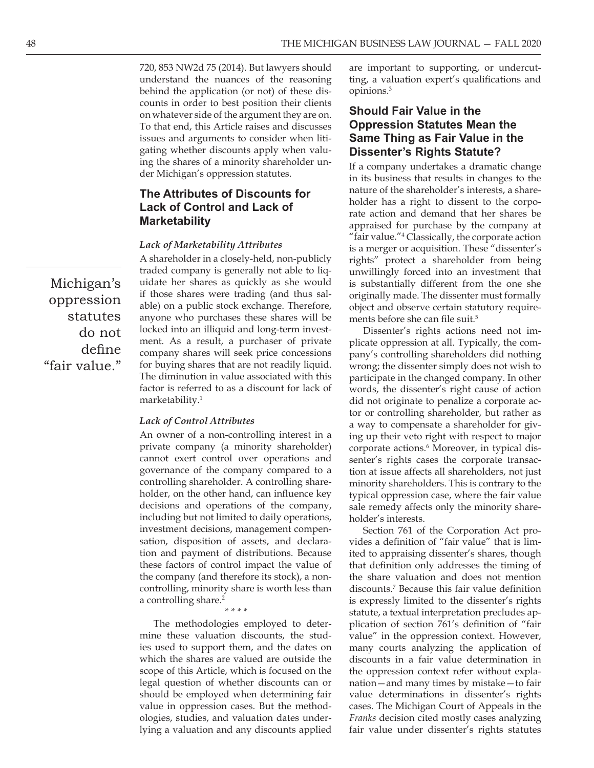720, 853 NW2d 75 (2014). But lawyers should understand the nuances of the reasoning behind the application (or not) of these discounts in order to best position their clients on whatever side of the argument they are on. To that end, this Article raises and discusses issues and arguments to consider when litigating whether discounts apply when valuing the shares of a minority shareholder under Michigan's oppression statutes.

### **The Attributes of Discounts for Lack of Control and Lack of Marketability**

#### *Lack of Marketability Attributes*

A shareholder in a closely-held, non-publicly traded company is generally not able to liquidate her shares as quickly as she would if those shares were trading (and thus salable) on a public stock exchange. Therefore, anyone who purchases these shares will be locked into an illiquid and long-term investment. As a result, a purchaser of private company shares will seek price concessions for buying shares that are not readily liquid. The diminution in value associated with this factor is referred to as a discount for lack of marketability.<sup>1</sup>

#### *Lack of Control Attributes*

An owner of a non-controlling interest in a private company (a minority shareholder) cannot exert control over operations and governance of the company compared to a controlling shareholder. A controlling shareholder, on the other hand, can influence key decisions and operations of the company, including but not limited to daily operations, investment decisions, management compensation, disposition of assets, and declaration and payment of distributions. Because these factors of control impact the value of the company (and therefore its stock), a noncontrolling, minority share is worth less than a controlling share.<sup>2</sup> *\* \* \* \** 

The methodologies employed to determine these valuation discounts, the studies used to support them, and the dates on which the shares are valued are outside the scope of this Article, which is focused on the legal question of whether discounts can or should be employed when determining fair value in oppression cases. But the methodologies, studies, and valuation dates underlying a valuation and any discounts applied are important to supporting, or undercutting, a valuation expert's qualifications and opinions.3

## **Should Fair Value in the Oppression Statutes Mean the Same Thing as Fair Value in the Dissenter's Rights Statute?**

If a company undertakes a dramatic change in its business that results in changes to the nature of the shareholder's interests, a shareholder has a right to dissent to the corporate action and demand that her shares be appraised for purchase by the company at "fair value."4 Classically, the corporate action is a merger or acquisition. These "dissenter's rights" protect a shareholder from being unwillingly forced into an investment that is substantially different from the one she originally made. The dissenter must formally object and observe certain statutory requirements before she can file suit.<sup>5</sup>

Dissenter's rights actions need not implicate oppression at all. Typically, the company's controlling shareholders did nothing wrong; the dissenter simply does not wish to participate in the changed company. In other words, the dissenter's right cause of action did not originate to penalize a corporate actor or controlling shareholder, but rather as a way to compensate a shareholder for giving up their veto right with respect to major corporate actions.6 Moreover, in typical dissenter's rights cases the corporate transaction at issue affects all shareholders, not just minority shareholders. This is contrary to the typical oppression case, where the fair value sale remedy affects only the minority shareholder's interests.

Section 761 of the Corporation Act provides a definition of "fair value" that is limited to appraising dissenter's shares, though that definition only addresses the timing of the share valuation and does not mention discounts.7 Because this fair value definition is expressly limited to the dissenter's rights statute, a textual interpretation precludes application of section 761's definition of "fair value" in the oppression context. However, many courts analyzing the application of discounts in a fair value determination in the oppression context refer without explanation—and many times by mistake—to fair value determinations in dissenter's rights cases. The Michigan Court of Appeals in the *Franks* decision cited mostly cases analyzing fair value under dissenter's rights statutes

Michigan's oppression statutes do not define "fair value."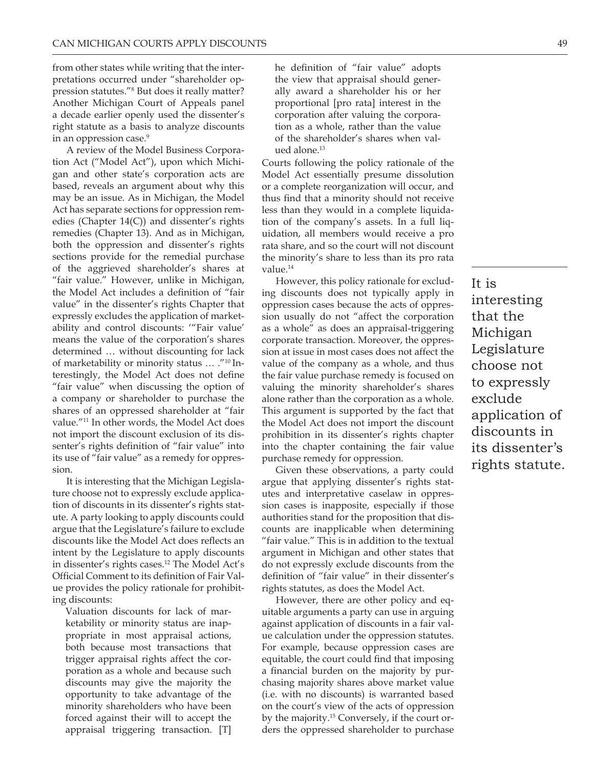from other states while writing that the interpretations occurred under "shareholder oppression statutes."8 But does it really matter? Another Michigan Court of Appeals panel a decade earlier openly used the dissenter's right statute as a basis to analyze discounts in an oppression case.<sup>9</sup>

A review of the Model Business Corporation Act ("Model Act"), upon which Michigan and other state's corporation acts are based, reveals an argument about why this may be an issue. As in Michigan, the Model Act has separate sections for oppression remedies (Chapter 14(C)) and dissenter's rights remedies (Chapter 13). And as in Michigan, both the oppression and dissenter's rights sections provide for the remedial purchase of the aggrieved shareholder's shares at "fair value." However, unlike in Michigan, the Model Act includes a definition of "fair value" in the dissenter's rights Chapter that expressly excludes the application of marketability and control discounts: '"Fair value' means the value of the corporation's shares determined … without discounting for lack of marketability or minority status … ."10 Interestingly, the Model Act does not define "fair value" when discussing the option of a company or shareholder to purchase the shares of an oppressed shareholder at "fair value."<sup>11</sup> In other words, the Model Act does not import the discount exclusion of its dissenter's rights definition of "fair value" into its use of "fair value" as a remedy for oppression.

It is interesting that the Michigan Legislature choose not to expressly exclude application of discounts in its dissenter's rights statute. A party looking to apply discounts could argue that the Legislature's failure to exclude discounts like the Model Act does reflects an intent by the Legislature to apply discounts in dissenter's rights cases.<sup>12</sup> The Model Act's Official Comment to its definition of Fair Value provides the policy rationale for prohibiting discounts:

Valuation discounts for lack of marketability or minority status are inappropriate in most appraisal actions, both because most transactions that trigger appraisal rights affect the corporation as a whole and because such discounts may give the majority the opportunity to take advantage of the minority shareholders who have been forced against their will to accept the appraisal triggering transaction. [T] he definition of "fair value" adopts the view that appraisal should generally award a shareholder his or her proportional [pro rata] interest in the corporation after valuing the corporation as a whole, rather than the value of the shareholder's shares when valued alone.13

Courts following the policy rationale of the Model Act essentially presume dissolution or a complete reorganization will occur, and thus find that a minority should not receive less than they would in a complete liquidation of the company's assets. In a full liquidation, all members would receive a pro rata share, and so the court will not discount the minority's share to less than its pro rata value.<sup>14</sup>

However, this policy rationale for excluding discounts does not typically apply in oppression cases because the acts of oppression usually do not "affect the corporation as a whole" as does an appraisal-triggering corporate transaction. Moreover, the oppression at issue in most cases does not affect the value of the company as a whole, and thus the fair value purchase remedy is focused on valuing the minority shareholder's shares alone rather than the corporation as a whole. This argument is supported by the fact that the Model Act does not import the discount prohibition in its dissenter's rights chapter into the chapter containing the fair value purchase remedy for oppression.

Given these observations, a party could argue that applying dissenter's rights statutes and interpretative caselaw in oppression cases is inapposite, especially if those authorities stand for the proposition that discounts are inapplicable when determining "fair value." This is in addition to the textual argument in Michigan and other states that do not expressly exclude discounts from the definition of "fair value" in their dissenter's rights statutes, as does the Model Act.

However, there are other policy and equitable arguments a party can use in arguing against application of discounts in a fair value calculation under the oppression statutes. For example, because oppression cases are equitable, the court could find that imposing a financial burden on the majority by purchasing majority shares above market value (i.e. with no discounts) is warranted based on the court's view of the acts of oppression by the majority.15 Conversely, if the court orders the oppressed shareholder to purchase It is interesting that the Michigan Legislature choose not to expressly exclude application of discounts in its dissenter's rights statute.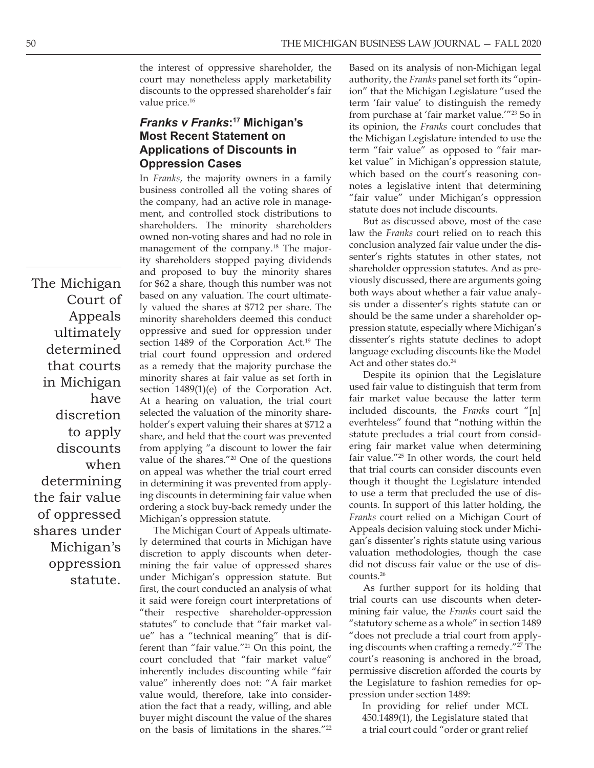the interest of oppressive shareholder, the court may nonetheless apply marketability discounts to the oppressed shareholder's fair value price.<sup>16</sup>

## *Franks v Franks***:17 Michigan's Most Recent Statement on Applications of Discounts in Oppression Cases**

In *Franks*, the majority owners in a family business controlled all the voting shares of the company, had an active role in management, and controlled stock distributions to shareholders. The minority shareholders owned non-voting shares and had no role in management of the company.<sup>18</sup> The majority shareholders stopped paying dividends and proposed to buy the minority shares for \$62 a share, though this number was not based on any valuation. The court ultimately valued the shares at \$712 per share. The minority shareholders deemed this conduct oppressive and sued for oppression under section 1489 of the Corporation Act.<sup>19</sup> The trial court found oppression and ordered as a remedy that the majority purchase the minority shares at fair value as set forth in section 1489(1)(e) of the Corporation Act. At a hearing on valuation, the trial court selected the valuation of the minority shareholder's expert valuing their shares at \$712 a share, and held that the court was prevented from applying "a discount to lower the fair value of the shares."20 One of the questions on appeal was whether the trial court erred in determining it was prevented from applying discounts in determining fair value when ordering a stock buy-back remedy under the Michigan's oppression statute.

The Michigan Court of Appeals ultimately determined that courts in Michigan have discretion to apply discounts when determining the fair value of oppressed shares under Michigan's oppression statute. But first, the court conducted an analysis of what it said were foreign court interpretations of "their respective shareholder-oppression statutes" to conclude that "fair market value" has a "technical meaning" that is different than "fair value."<sup>21</sup> On this point, the court concluded that "fair market value" inherently includes discounting while "fair value" inherently does not: "A fair market value would, therefore, take into consideration the fact that a ready, willing, and able buyer might discount the value of the shares on the basis of limitations in the shares."<sup>22</sup>

Based on its analysis of non-Michigan legal authority, the *Franks* panel set forth its "opinion" that the Michigan Legislature "used the term 'fair value' to distinguish the remedy from purchase at 'fair market value.'"23 So in its opinion, the *Franks* court concludes that the Michigan Legislature intended to use the term "fair value" as opposed to "fair market value" in Michigan's oppression statute, which based on the court's reasoning connotes a legislative intent that determining "fair value" under Michigan's oppression statute does not include discounts.

But as discussed above, most of the case law the *Franks* court relied on to reach this conclusion analyzed fair value under the dissenter's rights statutes in other states, not shareholder oppression statutes. And as previously discussed, there are arguments going both ways about whether a fair value analysis under a dissenter's rights statute can or should be the same under a shareholder oppression statute, especially where Michigan's dissenter's rights statute declines to adopt language excluding discounts like the Model Act and other states do.<sup>24</sup>

Despite its opinion that the Legislature used fair value to distinguish that term from fair market value because the latter term included discounts, the *Franks* court "[n] everhteless" found that "nothing within the statute precludes a trial court from considering fair market value when determining fair value."25 In other words, the court held that trial courts can consider discounts even though it thought the Legislature intended to use a term that precluded the use of discounts. In support of this latter holding, the *Franks* court relied on a Michigan Court of Appeals decision valuing stock under Michigan's dissenter's rights statute using various valuation methodologies, though the case did not discuss fair value or the use of discounts.26

As further support for its holding that trial courts can use discounts when determining fair value, the *Franks* court said the "statutory scheme as a whole" in section 1489 "does not preclude a trial court from applying discounts when crafting a remedy."27 The court's reasoning is anchored in the broad, permissive discretion afforded the courts by the Legislature to fashion remedies for oppression under section 1489:

In providing for relief under MCL 450.1489(1), the Legislature stated that a trial court could "order or grant relief

The Michigan Court of Appeals ultimately determined that courts in Michigan have discretion to apply discounts when determining the fair value of oppressed shares under Michigan's oppression statute.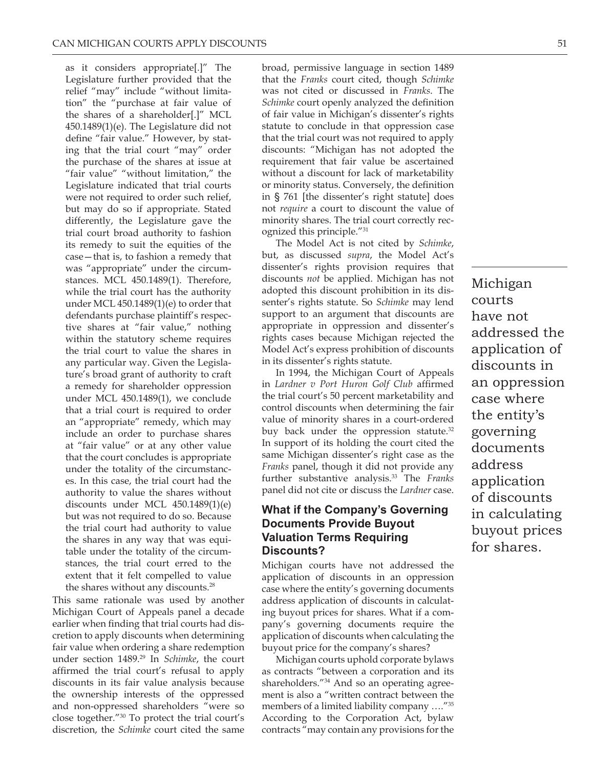as it considers appropriate[.]" The Legislature further provided that the relief "may" include "without limitation" the "purchase at fair value of the shares of a shareholder[.]" MCL 450.1489(1)(e). The Legislature did not define "fair value." However, by stating that the trial court "may" order the purchase of the shares at issue at "fair value" "without limitation," the Legislature indicated that trial courts were not required to order such relief, but may do so if appropriate. Stated differently, the Legislature gave the trial court broad authority to fashion its remedy to suit the equities of the case—that is, to fashion a remedy that was "appropriate" under the circumstances. MCL 450.1489(1). Therefore, while the trial court has the authority under MCL 450.1489(1)(e) to order that defendants purchase plaintiff's respective shares at "fair value," nothing within the statutory scheme requires the trial court to value the shares in any particular way. Given the Legislature's broad grant of authority to craft a remedy for shareholder oppression under MCL 450.1489(1), we conclude that a trial court is required to order an "appropriate" remedy, which may include an order to purchase shares at "fair value" or at any other value that the court concludes is appropriate under the totality of the circumstances. In this case, the trial court had the authority to value the shares without discounts under MCL 450.1489(1)(e) but was not required to do so. Because the trial court had authority to value the shares in any way that was equitable under the totality of the circumstances, the trial court erred to the extent that it felt compelled to value the shares without any discounts.<sup>28</sup>

This same rationale was used by another Michigan Court of Appeals panel a decade earlier when finding that trial courts had discretion to apply discounts when determining fair value when ordering a share redemption under section 1489.29 In *Schimke*, the court affirmed the trial court's refusal to apply discounts in its fair value analysis because the ownership interests of the oppressed and non-oppressed shareholders "were so close together."30 To protect the trial court's discretion, the *Schimke* court cited the same broad, permissive language in section 1489 that the *Franks* court cited, though *Schimke*  was not cited or discussed in *Franks*. The *Schimke* court openly analyzed the definition of fair value in Michigan's dissenter's rights statute to conclude in that oppression case that the trial court was not required to apply discounts: "Michigan has not adopted the requirement that fair value be ascertained without a discount for lack of marketability or minority status. Conversely, the definition in § 761 [the dissenter's right statute] does not *require* a court to discount the value of minority shares. The trial court correctly recognized this principle."31

The Model Act is not cited by *Schimke*, but, as discussed *supra*, the Model Act's dissenter's rights provision requires that discounts *not* be applied. Michigan has not adopted this discount prohibition in its dissenter's rights statute. So *Schimke* may lend support to an argument that discounts are appropriate in oppression and dissenter's rights cases because Michigan rejected the Model Act's express prohibition of discounts in its dissenter's rights statute.

In 1994, the Michigan Court of Appeals in *Lardner v Port Huron Golf Club* affirmed the trial court's 50 percent marketability and control discounts when determining the fair value of minority shares in a court-ordered buy back under the oppression statute.<sup>32</sup> In support of its holding the court cited the same Michigan dissenter's right case as the *Franks* panel, though it did not provide any further substantive analysis.33 The *Franks*  panel did not cite or discuss the *Lardner* case.

### **What if the Company's Governing Documents Provide Buyout Valuation Terms Requiring Discounts?**

Michigan courts have not addressed the application of discounts in an oppression case where the entity's governing documents address application of discounts in calculating buyout prices for shares. What if a company's governing documents require the application of discounts when calculating the buyout price for the company's shares?

Michigan courts uphold corporate bylaws as contracts "between a corporation and its shareholders."34 And so an operating agreement is also a "written contract between the members of a limited liability company …."35 According to the Corporation Act, bylaw contracts "may contain any provisions for the

Michigan courts have not addressed the application of discounts in an oppression case where the entity's governing documents address application of discounts in calculating buyout prices for shares.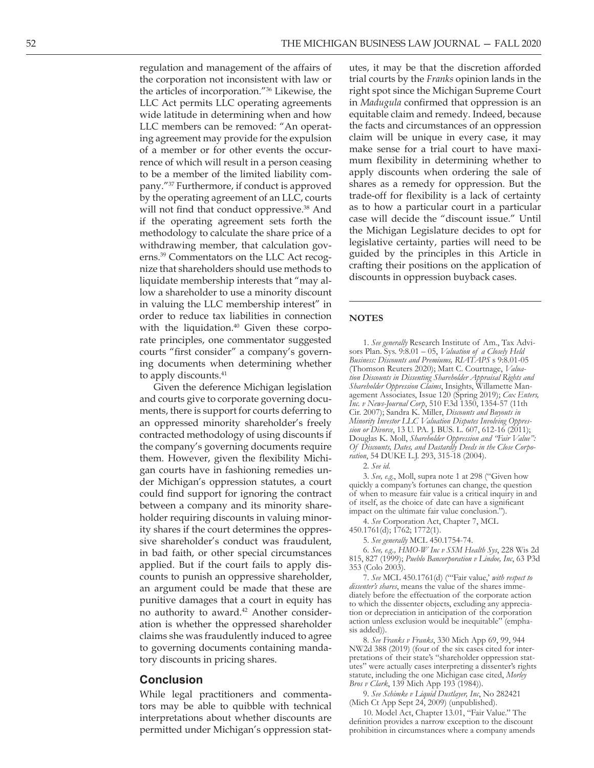regulation and management of the affairs of the corporation not inconsistent with law or the articles of incorporation."36 Likewise, the LLC Act permits LLC operating agreements wide latitude in determining when and how LLC members can be removed: "An operat ing agreement may provide for the expulsion of a member or for other events the occur rence of which will result in a person ceasing to be a member of the limited liability com pany."37 Furthermore, if conduct is approved by the operating agreement of an LLC, courts will not find that conduct oppressive.<sup>38</sup> And if the operating agreement sets forth the methodology to calculate the share price of a withdrawing member, that calculation gov erns.<sup>39</sup> Commentators on the LLC Act recognize that shareholders should use methods to liquidate membership interests that "may al low a shareholder to use a minority discount in valuing the LLC membership interest" in order to reduce tax liabilities in connection with the liquidation. $40$  Given these corporate principles, one commentator suggested courts "first consider" a company's govern ing documents when determining whether to apply discounts.<sup>41</sup>

Given the deference Michigan legislation and courts give to corporate governing docu ments, there is support for courts deferring to an oppressed minority shareholder's freely contracted methodology of using discounts if the company's governing documents require them. However, given the flexibility Michi gan courts have in fashioning remedies un der Michigan's oppression statutes, a court could find support for ignoring the contract between a company and its minority share holder requiring discounts in valuing minor ity shares if the court determines the oppres sive shareholder's conduct was fraudulent, in bad faith, or other special circumstances applied. But if the court fails to apply dis counts to punish an oppressive shareholder, an argument could be made that these are punitive damages that a court in equity has no authority to award.<sup>42</sup> Another consideration is whether the oppressed shareholder claims she was fraudulently induced to agree to governing documents containing manda tory discounts in pricing shares.

#### **Conclusion**

While legal practitioners and commenta tors may be able to quibble with technical interpretations about whether discounts are permitted under Michigan's oppression stat -

utes, it may be that the discretion afforded trial courts by the *Franks* opinion lands in the right spot since the Michigan Supreme Court in *Madugula* confirmed that oppression is an equitable claim and remedy. Indeed, because the facts and circumstances of an oppression claim will be unique in every case, it may make sense for a trial court to have maxi mum flexibility in determining whether to apply discounts when ordering the sale of shares as a remedy for oppression. But the trade-off for flexibility is a lack of certainty as to how a particular court in a particular case will decide the "discount issue." Until the Michigan Legislature decides to opt for legislative certainty, parties will need to be guided by the principles in this Article in crafting their positions on the application of discounts in oppression buyback cases.

#### **NOTES**

1. *See generally* Research Institute of Am., Tax Advi sors Plan. Sys. 9:8.01 – 05, *Valuation of a Closely Held Business: Discounts and Premiums, RIATAPS* s 9:8.01-05 (Thomson Reuters 2020); Matt C. Courtnage, *Valua tion Discounts in Dissenting Shareholder Appraisal Rights and Shareholder Oppression Claims*, Insights, Willamette Man agement Associates, Issue 120 (Spring 2019); *Cox Enters, Inc. v News-Journal Corp*, 510 F.3d 1350, 1354-57 (11th Cir. 2007); Sandra K. Miller, *Discounts and Buyouts in Minority Investor LLC Valuation Disputes Involving Oppres sion or Divorce*, 13 U. PA. J. BUS. L. 607, 612-16 (2011); Douglas K. Moll, *Shareholder Oppression and "Fair Value": Of Discounts, Dates, and Dastardly Deeds in the Close Corpo ration*, 54 DUKE L.J. 293, 315-18 (2004).

2. *See id*.

3. *See, e.g*., Moll, supra note 1 at 298 ("Given how quickly a company's fortunes can change, the question of when to measure fair value is a critical inquiry in and of itself, as the choice of date can have a significant impact on the ultimate fair value conclusion.").

4. *See* Corporation Act, Chapter 7, MCL 450.1761(d); 1762; 1772(1).

5. *See generally* MCL 450.1754-74.

6. *See, e.g., HMO-W Inc v SSM Health Sys*, 228 Wis 2d 815, 827 (1999); *Pueblo Bancorporation v Lindoe, Inc*, 63 P3d 353 (Colo 2003).

7. *See* MCL 450.1761(d) ("'Fair value,' *with respect to dissenter's shares*, means the value of the shares imme diately before the effectuation of the corporate action to which the dissenter objects, excluding any apprecia tion or depreciation in anticipation of the corporation action unless exclusion would be inequitable" (emphasis added)).

8. *See Franks v Franks*, 330 Mich App 69, 99, 944 NW2d 388 (2019) (four of the six cases cited for inter pretations of their state's "shareholder oppression stat utes" were actually cases interpreting a dissenter's rights statute, including the one Michigan case cited, *Morley Bros v Clark*, 139 Mich App 193 (1984)).

9. *See Schimke v Liquid Dustlayer, Inc*, No 282421 (Mich Ct App Sept 24, 2009) (unpublished).

10. Model Act, Chapter 13.01, "Fair Value." The definition provides a narrow exception to the discount prohibition in circumstances where a company amends